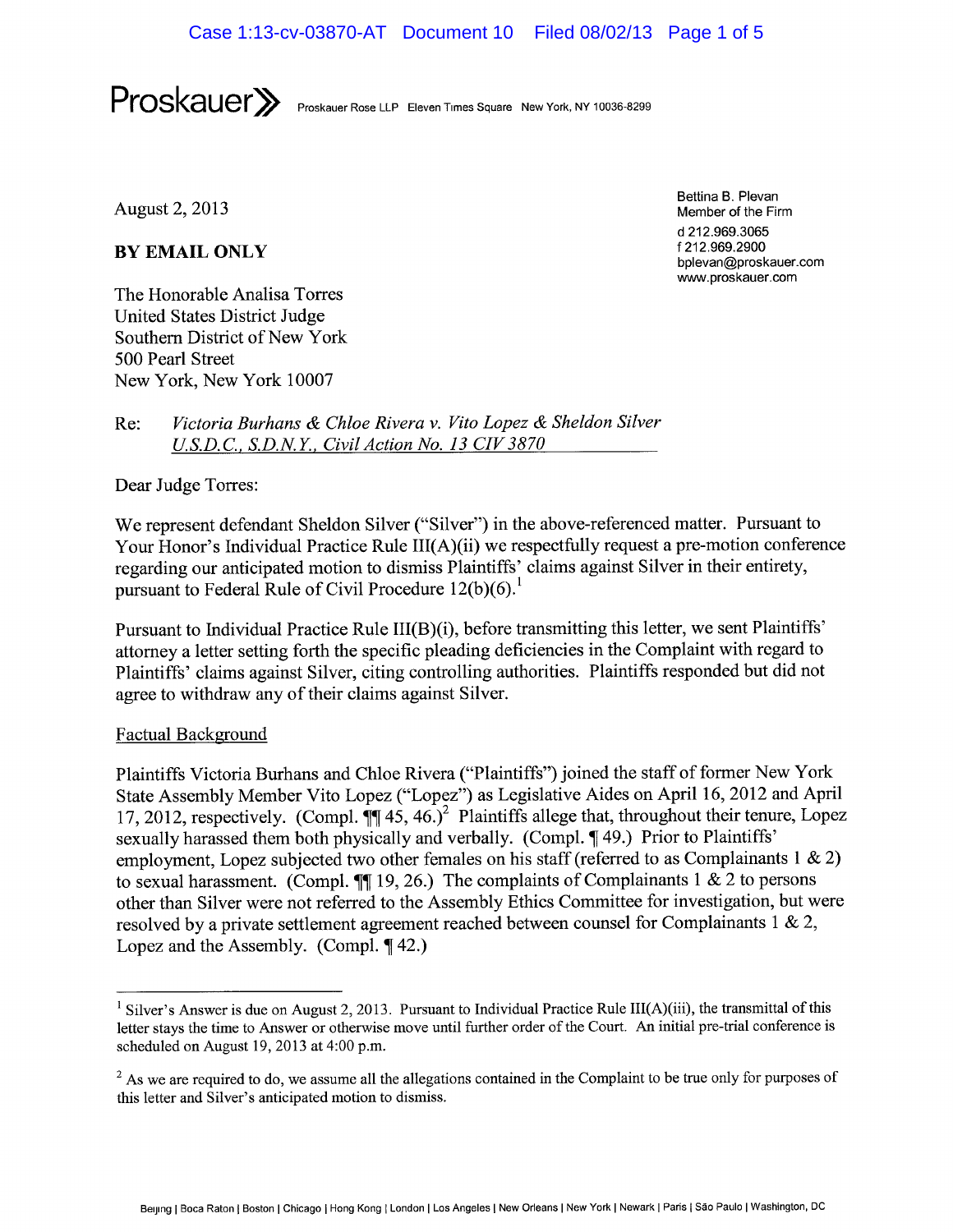

Proskauer>> Proskauer Rose LLP Eleven Times Square New York, NY 10036-8299

August 2, 2013

BY EMAIL ONLY

The Honorable Analisa Torres United States District Judge Southern District of New York 500 Pearl Street New York, New York 10007

Bettina B. Plevan Member of the Firm d 212. 969. 3065 f 212. 969. 2900 bplevan@proskauer.com www. proskauer. corn

Re: Victoria Burhans & Chloe Rivera v. Vito Lopez & Sheldon Silver U.S.D.C., S.D.N.Y., Civil Action No. 13 CIV 3870

Dear Judge Torres:

We represent defendant Sheldon Silver ("Silver") in the above-referenced matter. Pursuant to Your Honor's Individual Practice Rule III(A)(ii) we respectfully request a pre-motion conference regarding our anticipated motion to dismiss Plaintiffs' claims against Silver in their entirety, pursuant to Federal Rule of Civil Procedure  $12(b)(6)$ .

Pursuant to Individual Practice Rule III(B)(i), before transmitting this letter, we sent Plaintiffs' attorney a letter setting forth the specific pleading deficiencies in the Complaint with regard to Plaintiffs' claims against Silver, citing controlling authorities. Plaintiffs responded but did not agree to withdraw any of their claims against Silver.

#### Factual Background

Plaintiffs Victoria Burhans and Chloe Rivera ("Plaintiffs") joined the staff of former New York State Assembly Member Vito Lopez ("Lopez") as Legislative Aides on April 16, 2012 and April 17, 2012, respectively. (Compl.  $\P\P$ 45, 46.)<sup>2</sup> Plaintiffs allege that, throughout their tenure, Lopez sexually harassed them both physically and verbally. (Compl. 149.) Prior to Plaintiffs' employment, Lopez subjected two other females on his staff (referred to as Complainants 1 & 2) to sexual harassment. (Compl.  $\P$  19, 26.) The complaints of Complainants 1 & 2 to persons other than Silver were not referred to the Assembly Ethics Committee for investigation, but were resolved by a private settlement agreement reached between counsel for Complainants 1 & 2, Lopez and the Assembly. (Compl.  $\P$ 42.)

<sup>&</sup>lt;sup>1</sup> Silver's Answer is due on August 2, 2013. Pursuant to Individual Practice Rule III(A)(iii), the transmittal of this letter stays the time to Answer or otherwise move until further order of the Court. An initial pre-trial conference is scheduled on August 19, 2013 at 4:00 p.m.

 $<sup>2</sup>$  As we are required to do, we assume all the allegations contained in the Complaint to be true only for purposes of</sup> this letter and Silver's anticipated motion to dismiss.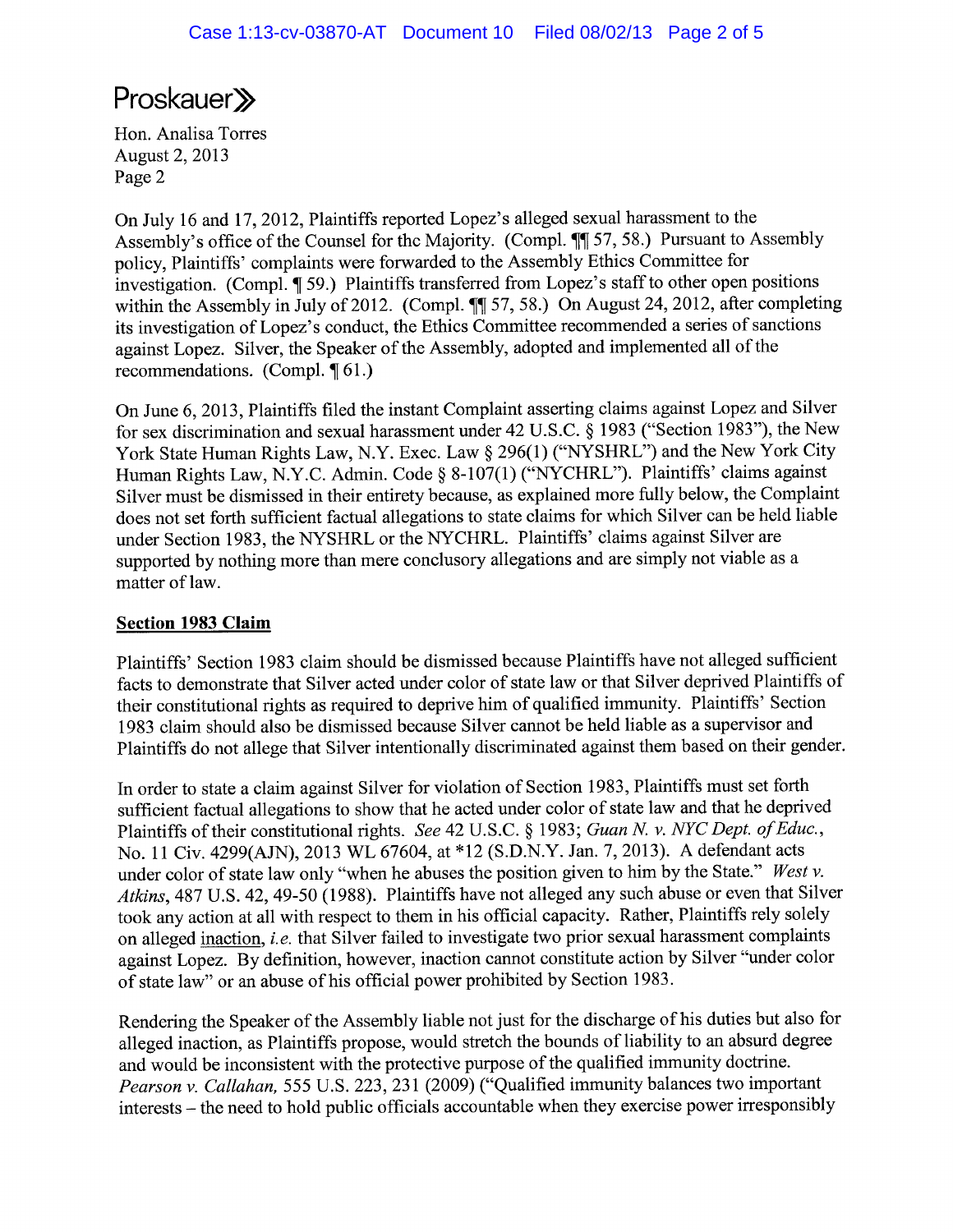Hon. Analisa Torres August 2, 2013 Page 2

On July 16 and 17, 2012, Plaintiffs reported Lopez's alleged sexual harassment to the Assembly's office of the Counsel for the Majority. (Compl.  $\P$  57, 58.) Pursuant to Assembly policy, Plaintiffs' complaints were forwarded to the Assembly Ethics Committee for investigation. (Compl. ¶ 59.) Plaintiffs transferred from Lopez's staff to other open positions within the Assembly in July of 2012. (Compl.  $\P\P$  57, 58.) On August 24, 2012, after completing its investigation of Lopez's conduct, the Ethics Committee recommended a series of sanctions against Lopez. Silver, the Speaker of the Assembly, adopted and implemented all of the recommendations. (Compl.  $\P$  61.)

On June 6, 2013, Plaintiffs filed the instant Complaint asserting claims against Lopez and Silver for sex discrimination and sexual harassment under 42 U.S.C. § 1983 ("Section 1983"), the New York State Human Rights Law, N.Y. Exec. Law § 296(1) ("NYSHRL") and the New York City Human Rights Law, N.Y.C. Admin. Code § 8-107(1) ("NYCHRL"). Plaintiffs' claims against Silver must be dismissed in their entirety because, as explained more fully below, the Complaint does not set forth sufficient factual allegations to state claims for which Silver can be held liable under Section 1983, the NYSHRL or the NYCHRL. Plaintiffs' claims against Silver are supported by nothing more than mere conclusory allegations and are simply not viable as a matter of law.

### Section 1983 Claim

Plaintiffs' Section 1983 claim should be dismissed because Plaintiffs have not alleged sufficient facts to demonstrate that Silver acted under color of state law or that Silver deprived Plaintiffs of their constitutional rights as required to deprive him of qualified immunity. Plaintiffs' Section 1983 claim should also be dismissed because Silver cannot be held liable as a supervisor and Plaintiffs do not allege that Silver intentionally discriminated against them based on their gender.

In order to state a claim against Silver for violation of Section 1983, Plaintiffs must set forth sufficient factual allegations to show that he acted under color of state law and that he deprived Plaintiffs of their constitutional rights. See 42 U.S.C. § 1983; Guan N. v. NYC Dept. of Educ., No. 11 Civ. 4299(AJN), 2013 WL 67604, at \*12 (S.D.N.Y. Jan. 7, 2013). A defendant acts under color of state law only "when he abuses the position given to him by the State." West v. Atkins, 487 U.S. 42, 49-50 (1988). Plaintiffs have not alleged any such abuse or even that Silver took any action at all with respect to them in his official capacity. Rather, Plaintiffs rely solely on alleged inaction, i.e. that Silver failed to investigate two prior sexual harassment complaints against Lopez. By definition, however, inaction cannot constitute action by Silver "under color of state law" or an abuse of his official power prohibited by Section 1983.

Rendering the Speaker of the Assembly liable not just for the discharge of his duties but also for alleged inaction, as Plaintiffs propose, would stretch the bounds of liability to an absurd degree and would be inconsistent with the protective purpose of the qualified immunity doctrine. Pearson v. Callahan, 555 U.S. 223, 231 (2009) ("Qualified immunity balances two important interests — the need to hold public officials accountable when they exercise power irresponsibly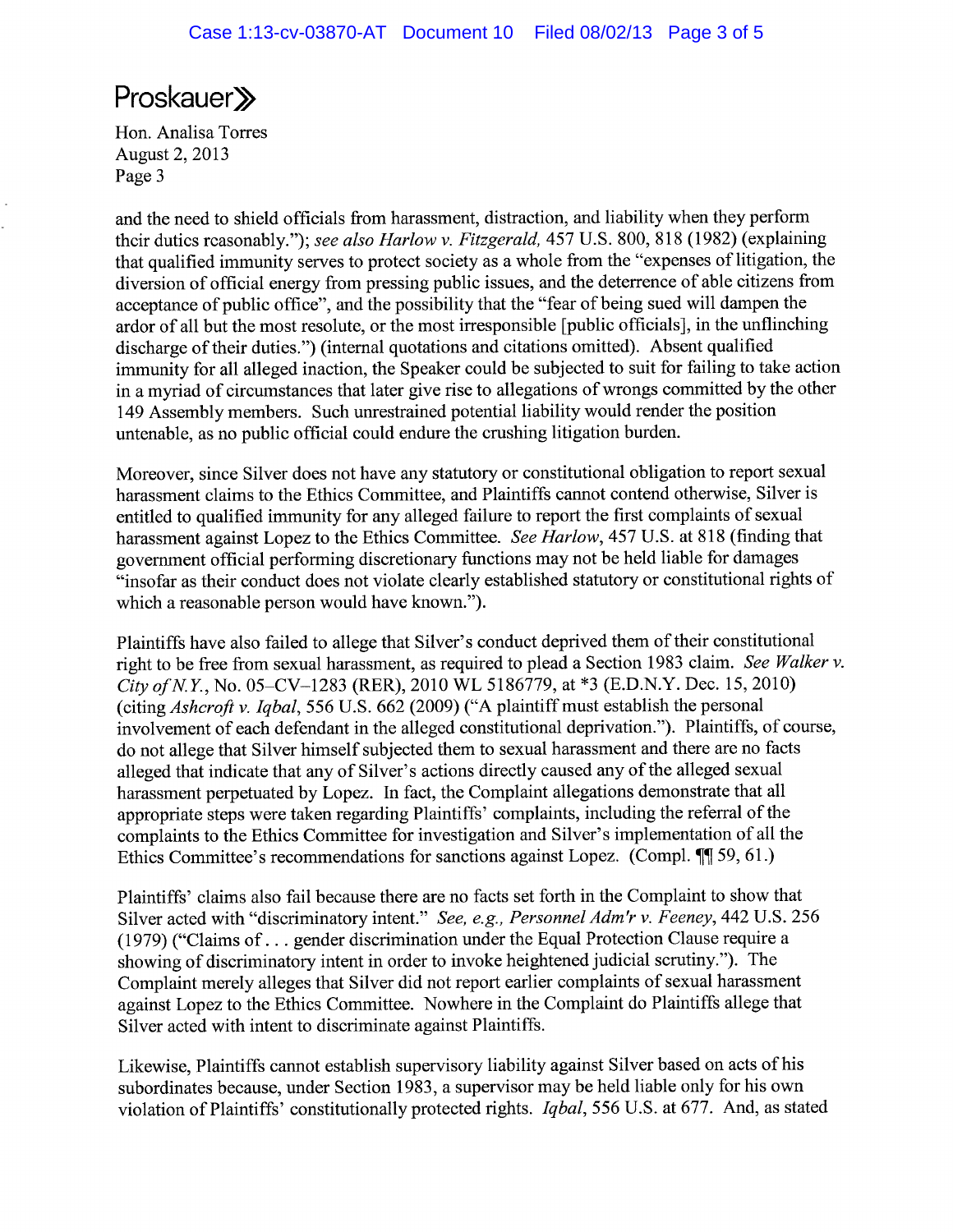Hon. Analisa Torres August 2, 2013 Page 3

and the need to shield officials from harassment, distraction, and liability when they perform their duties reasonably."); see also Harlow v. Fitzgerald, 457 U.S. 800, 818 (1982) (explaining that qualified immunity serves to protect society as a whole from the "expenses of litigation, the diversion of official energy from pressing public issues, and the deterrence of able citizens from acceptance of public office", and the possibility that the "fear of being sued will dampen the ardor of all but the most resolute, or the most irresponsible [public officials], in the unflinching discharge of their duties. ") (internal quotations and citations omitted). Absent qualified immunity for all alleged inaction, the Speaker could be subjected to suit for failing to take action in a myriad of circumstances that later give rise to allegations of wrongs committed by the other 149 Assembly members. Such unrestrained potential liability would render the position untenable, as no public official could endure the crushing litigation burden.

Moreover, since Silver does not have any statutory or constitutional obligation to report sexual harassment claims to the Ethics Committee, and Plaintiffs cannot contend otherwise, Silver is entitled to qualified immunity for any alleged failure to report the first complaints of sexual harassment against Lopez to the Ethics Committee. See Harlow, 457 U.S. at 818 (finding that government official performing discretionary functions may not be held liable for damages "insofar as their conduct does not violate clearly established statutory or constitutional rights of which a reasonable person would have known.").

Plaintiffs have also failed to allege that Silver's conduct deprived them of their constitutional right to be free from sexual harassment, as required to plead a Section 1983 claim. See Walker v. *City of N.Y.*, No. 05–CV–1283 (RER), 2010 WL 5186779, at \*3 (E.D.N.Y. Dec. 15, 2010) (citing Ashcroft v. Iqbal, 556 U.S. 662 (2009) ("A plaintiff must establish the personal involvement of each defendant in the alleged constitutional deprivation. "). Plaintiffs, of course, do not allege that Silver himself subjected them to sexual harassment and there are no facts alleged that indicate that any of Silver's actions directly caused any of the alleged sexual harassment perpetuated by Lopez. In fact, the Complaint allegations demonstrate that all appropriate steps were taken regarding Plaintiffs' complaints, including the referral of the complaints to the Ethics Committee for investigation and Silver's implementation of all the Ethics Committee's recommendations for sanctions against Lopez. (Compl.  $\P$  59, 61.)

Plaintiffs' claims also fail because there are no facts set forth in the Complaint to show that Silver acted with "discriminatory intent." See, e.g., Personnel Adm'r v. Feeney, 442 U.S. 256 (1979) (" Claims of. . . gender discrimination under the Equal Protection Clause require <sup>a</sup> showing of discriminatory intent in order to invoke heightened judicial scrutiny. "). The Complaint merely alleges that Silver did not report earlier complaints of sexual harassment against Lopez to the Ethics Committee. Nowhere in the Complaint do Plaintiffs allege that Silver acted with intent to discriminate against Plaintiffs.

Likewise, Plaintiffs cannot establish supervisory liability against Silver based on acts of his subordinates because, under Section 1983, a supervisor may be held liable only for his own violation of Plaintiffs' constitutionally protected rights. Iqbal, 556 U.S. at 677. And, as stated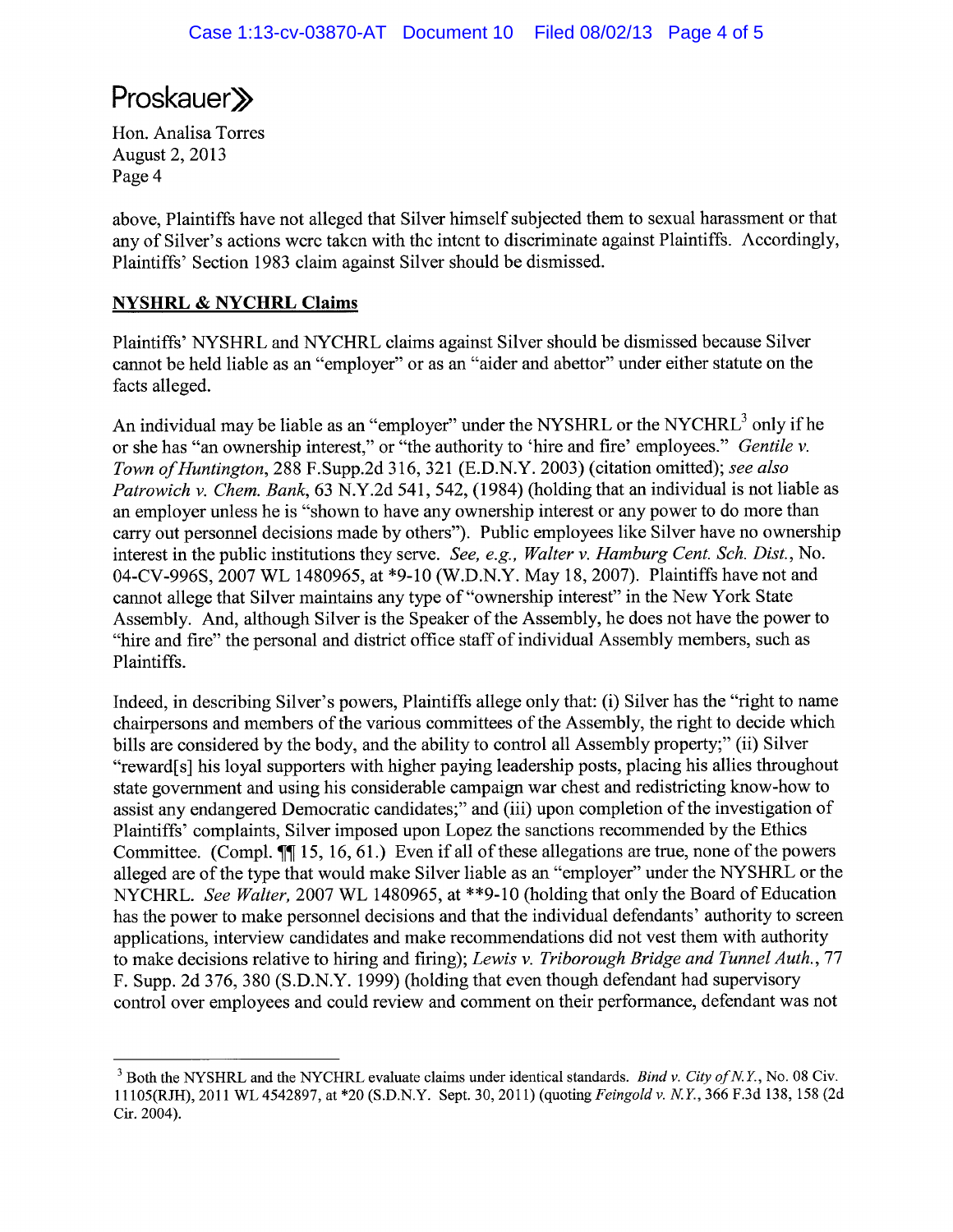Hon. Analisa Torres August 2, 2013 Page 4

above, Plaintiffs have not alleged that Silver himself subjected them to sexual harassment or that any of Silver's actions werc taken with thc intent to discriminate against Plaintiffs. Accordingly, Plaintiffs' Section 1983 claim against Silver should be dismissed.

### **NYSHRL & NYCHRL Claims**

Plaintiffs' NYSHRL and NYCHRL claims against Silver should be dismissed because Silver cannot be held liable as an "employer" or as an "aider and abettor" under either statute on the facts alleged.

An individual may be liable as an "employer" under the NYSHRL or the NYCHRL<sup>3</sup> only if he or she has "an ownership interest," or "the authority to 'hire and fire' employees." *Gentile v.* Town of Huntington, 288 F. Supp. 2d 316, 321 (E.D.N.Y. 2003) (citation omitted); see also Patrowich v. Chem. Bank, 63 N.Y.2d 541, 542, (1984) (holding that an individual is not liable as an employer unless he is "shown to have any ownership interest or any power to do more than carry out personnel decisions made by others"). Public employees like Silver have no ownership interest in the public institutions they serve. See, e.g., Walter v. Hamburg Cent. Sch. Dist., No. 04-CV-996S, 2007 WL 1480965, at \*9-10 (W.D.N.Y. May 18, 2007). Plaintiffs have not and cannot allege that Silver maintains any type of "ownership interest" in the New York State Assembly. And, although Silver is the Speaker of the Assembly, he does not have the power to "hire and fire" the personal and district office staff of individual Assembly members, such as Plaintiffs.

Indeed, in describing Silver's powers, Plaintiffs allege only that: (i) Silver has the "right to name chairpersons and members of the various committees of the Assembly, the right to decide which bills are considered by the body, and the ability to control all Assembly property;" (ii) Silver "reward[s] his loyal supporters with higher paying leadership posts, placing his allies throughout state government and using his considerable campaign war chest and redistricting know-how to assist any endangered Democratic candidates;" and (iii) upon completion of the investigation of Plaintiffs' complaints, Silver imposed upon Lopez the sanctions recommended by the Ethics Committee. (Compl.  $\P$  15, 16, 61.) Even if all of these allegations are true, none of the powers alleged are of the type that would make Silver liable as an "employer" under the NYSHRL or the NYCHRL. See Walter, 2007 WL 1480965, at \*\*9-10 (holding that only the Board of Education has the power to make personnel decisions and that the individual defendants' authority to screen applications, interview candidates and make recommendations did not vest them with authority to make decisions relative to hiring and firing); Lewis v. Triborough Bridge and Tunnel Auth., 77 F. Supp. 2d 376, 380 (S.D.N.Y. 1999) (holding that even though defendant had supervisory control over employees and could review and comment on their performance, defendant was not

Both the NYSHRL and the NYCHRL evaluate claims under identical standards. *Bind v. City of N.Y.*, No. 08 Civ. 11105(RJH), 2011 WL 4542897, at \*20 (S.D.N.Y. Sept. 30, 2011) (quoting Feingold v. N.Y., 366 F.3d 138, 158 (2d Cir. 2004).